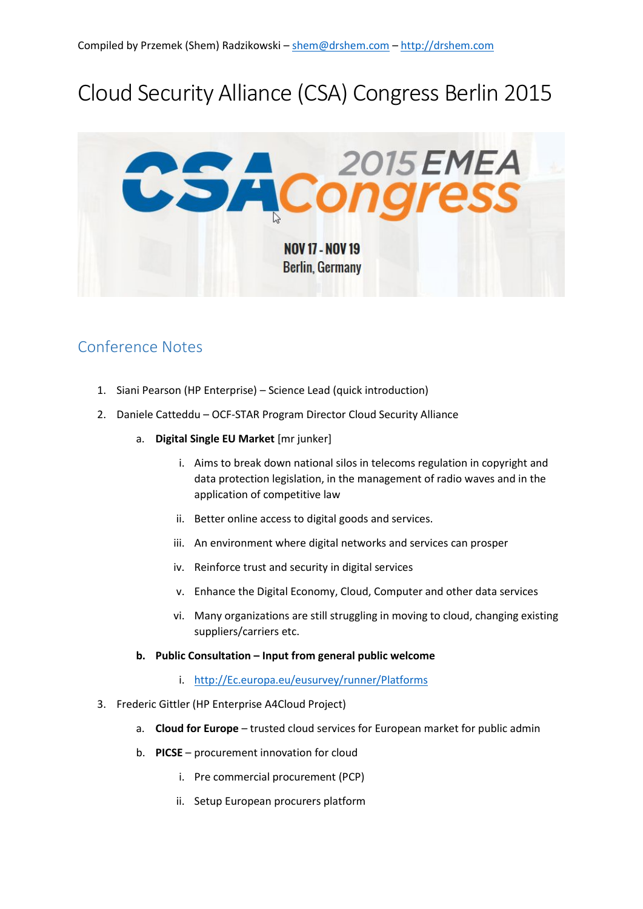# Cloud Security Alliance (CSA) Congress Berlin 2015



## Conference Notes

- 1. Siani Pearson (HP Enterprise) Science Lead (quick introduction)
- 2. Daniele Catteddu OCF-STAR Program Director Cloud Security Alliance
	- a. **Digital Single EU Market** [mr junker]
		- i. Aims to break down national silos in telecoms regulation in copyright and data protection legislation, in the management of radio waves and in the application of competitive law
		- ii. Better online access to digital goods and services.
		- iii. An environment where digital networks and services can prosper
		- iv. Reinforce trust and security in digital services
		- v. Enhance the Digital Economy, Cloud, Computer and other data services
		- vi. Many organizations are still struggling in moving to cloud, changing existing suppliers/carriers etc.
	- **b. Public Consultation – Input from general public welcome**
		- i. [http://Ec.europa.eu/eusurvey/runner/Platforms](http://ec.europa.eu/eusurvey/runner/Platforms)
- 3. Frederic Gittler (HP Enterprise A4Cloud Project)
	- a. **Cloud for Europe** trusted cloud services for European market for public admin
	- b. **PICSE** procurement innovation for cloud
		- i. Pre commercial procurement (PCP)
		- ii. Setup European procurers platform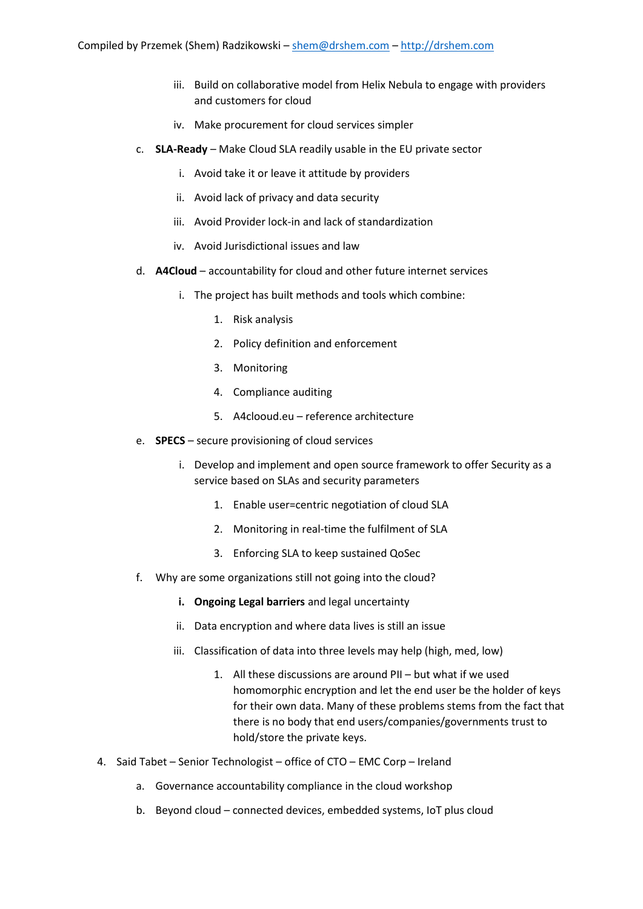- iii. Build on collaborative model from Helix Nebula to engage with providers and customers for cloud
- iv. Make procurement for cloud services simpler
- c. **SLA-Ready** Make Cloud SLA readily usable in the EU private sector
	- i. Avoid take it or leave it attitude by providers
	- ii. Avoid lack of privacy and data security
	- iii. Avoid Provider lock-in and lack of standardization
	- iv. Avoid Jurisdictional issues and law
- d. **A4Cloud**  accountability for cloud and other future internet services
	- i. The project has built methods and tools which combine:
		- 1. Risk analysis
		- 2. Policy definition and enforcement
		- 3. Monitoring
		- 4. Compliance auditing
		- 5. A4clooud.eu reference architecture
- e. **SPECS** secure provisioning of cloud services
	- i. Develop and implement and open source framework to offer Security as a service based on SLAs and security parameters
		- 1. Enable user=centric negotiation of cloud SLA
		- 2. Monitoring in real-time the fulfilment of SLA
		- 3. Enforcing SLA to keep sustained QoSec
- f. Why are some organizations still not going into the cloud?
	- **i. Ongoing Legal barriers** and legal uncertainty
	- ii. Data encryption and where data lives is still an issue
	- iii. Classification of data into three levels may help (high, med, low)
		- 1. All these discussions are around PII but what if we used homomorphic encryption and let the end user be the holder of keys for their own data. Many of these problems stems from the fact that there is no body that end users/companies/governments trust to hold/store the private keys.
- 4. Said Tabet Senior Technologist office of CTO EMC Corp Ireland
	- a. Governance accountability compliance in the cloud workshop
	- b. Beyond cloud connected devices, embedded systems, IoT plus cloud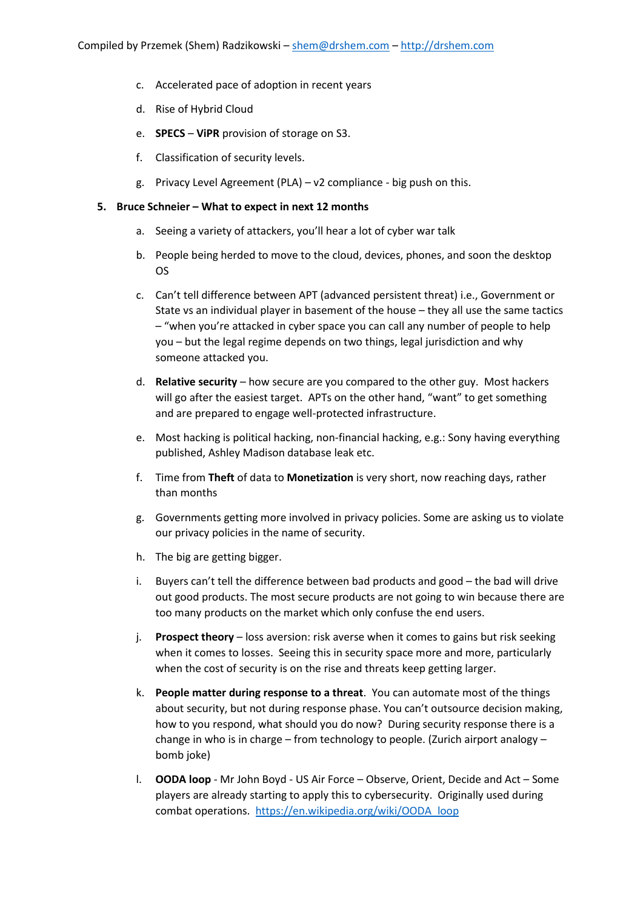- c. Accelerated pace of adoption in recent years
- d. Rise of Hybrid Cloud
- e. **SPECS ViPR** provision of storage on S3.
- f. Classification of security levels.
- g. Privacy Level Agreement (PLA) v2 compliance big push on this.

### **5. Bruce Schneier – What to expect in next 12 months**

- a. Seeing a variety of attackers, you'll hear a lot of cyber war talk
- b. People being herded to move to the cloud, devices, phones, and soon the desktop OS
- c. Can't tell difference between APT (advanced persistent threat) i.e., Government or State vs an individual player in basement of the house – they all use the same tactics – "when you're attacked in cyber space you can call any number of people to help you – but the legal regime depends on two things, legal jurisdiction and why someone attacked you.
- d. **Relative security** how secure are you compared to the other guy. Most hackers will go after the easiest target. APTs on the other hand, "want" to get something and are prepared to engage well-protected infrastructure.
- e. Most hacking is political hacking, non-financial hacking, e.g.: Sony having everything published, Ashley Madison database leak etc.
- f. Time from **Theft** of data to **Monetization** is very short, now reaching days, rather than months
- g. Governments getting more involved in privacy policies. Some are asking us to violate our privacy policies in the name of security.
- h. The big are getting bigger.
- i. Buyers can't tell the difference between bad products and good the bad will drive out good products. The most secure products are not going to win because there are too many products on the market which only confuse the end users.
- j. **Prospect theory** loss aversion: risk averse when it comes to gains but risk seeking when it comes to losses. Seeing this in security space more and more, particularly when the cost of security is on the rise and threats keep getting larger.
- k. **People matter during response to a threat**. You can automate most of the things about security, but not during response phase. You can't outsource decision making, how to you respond, what should you do now? During security response there is a change in who is in charge – from technology to people. (Zurich airport analogy – bomb joke)
- l. **OODA loop** Mr John Boyd US Air Force Observe, Orient, Decide and Act Some players are already starting to apply this to cybersecurity. Originally used during combat operations. [https://en.wikipedia.org/wiki/OODA\\_loop](https://en.wikipedia.org/wiki/OODA_loop)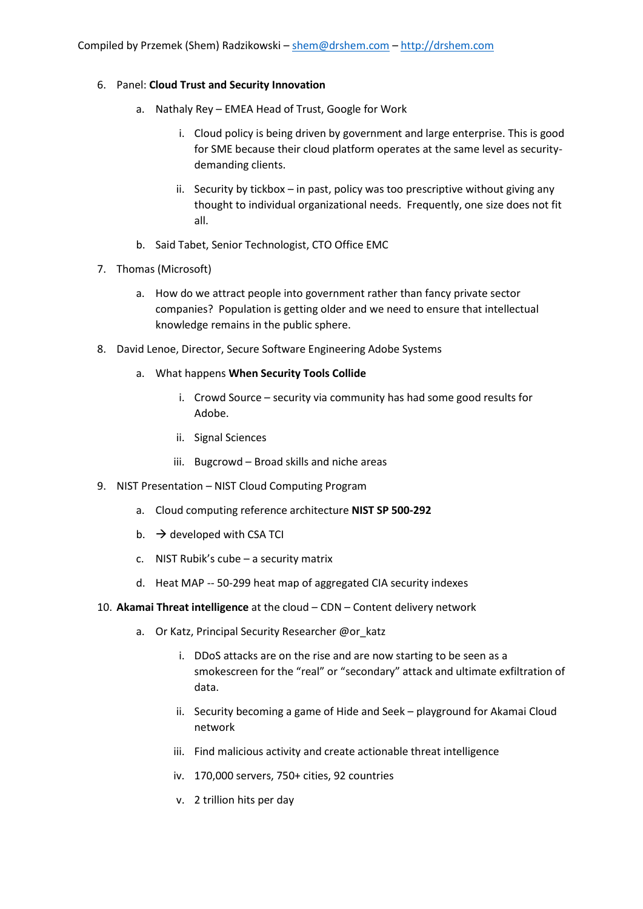### 6. Panel: **Cloud Trust and Security Innovation**

- a. Nathaly Rey EMEA Head of Trust, Google for Work
	- i. Cloud policy is being driven by government and large enterprise. This is good for SME because their cloud platform operates at the same level as securitydemanding clients.
	- ii. Security by tickbox in past, policy was too prescriptive without giving any thought to individual organizational needs. Frequently, one size does not fit all.
- b. Said Tabet, Senior Technologist, CTO Office EMC
- 7. Thomas (Microsoft)
	- a. How do we attract people into government rather than fancy private sector companies? Population is getting older and we need to ensure that intellectual knowledge remains in the public sphere.
- 8. David Lenoe, Director, Secure Software Engineering Adobe Systems
	- a. What happens **When Security Tools Collide**
		- i. Crowd Source security via community has had some good results for Adobe.
		- ii. Signal Sciences
		- iii. Bugcrowd Broad skills and niche areas
- 9. NIST Presentation NIST Cloud Computing Program
	- a. Cloud computing reference architecture **NIST SP 500-292**
	- b.  $\rightarrow$  developed with CSA TCI
	- c. NIST Rubik's cube a security matrix
	- d. Heat MAP -- 50-299 heat map of aggregated CIA security indexes
- 10. **Akamai Threat intelligence** at the cloud CDN Content delivery network
	- a. Or Katz, Principal Security Researcher @or\_katz
		- i. DDoS attacks are on the rise and are now starting to be seen as a smokescreen for the "real" or "secondary" attack and ultimate exfiltration of data.
		- ii. Security becoming a game of Hide and Seek playground for Akamai Cloud network
		- iii. Find malicious activity and create actionable threat intelligence
		- iv. 170,000 servers, 750+ cities, 92 countries
		- v. 2 trillion hits per day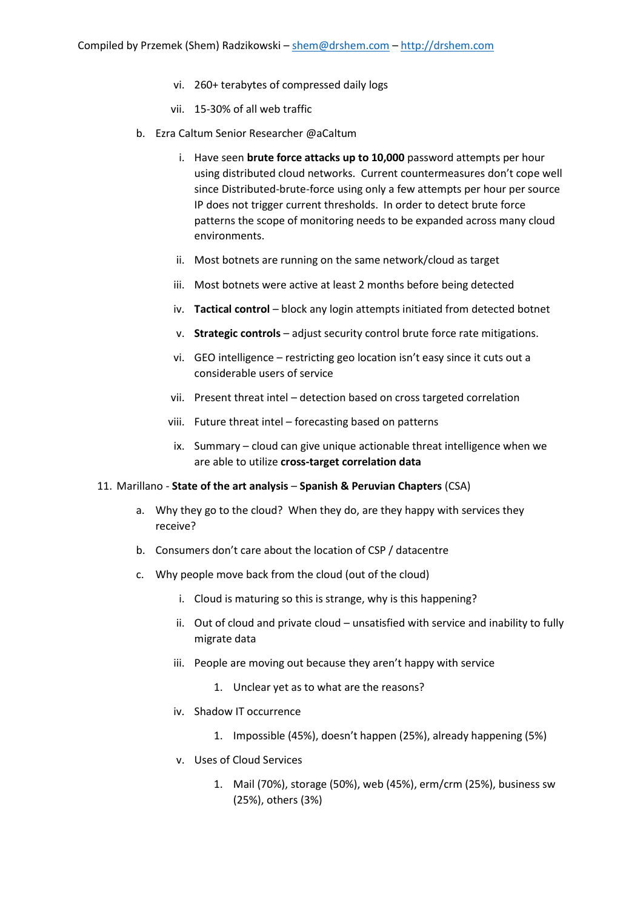- vi. 260+ terabytes of compressed daily logs
- vii. 15-30% of all web traffic
- b. Ezra Caltum Senior Researcher @aCaltum
	- i. Have seen **brute force attacks up to 10,000** password attempts per hour using distributed cloud networks. Current countermeasures don't cope well since Distributed-brute-force using only a few attempts per hour per source IP does not trigger current thresholds. In order to detect brute force patterns the scope of monitoring needs to be expanded across many cloud environments.
	- ii. Most botnets are running on the same network/cloud as target
	- iii. Most botnets were active at least 2 months before being detected
	- iv. **Tactical control** block any login attempts initiated from detected botnet
	- v. **Strategic controls** adjust security control brute force rate mitigations.
	- vi. GEO intelligence restricting geo location isn't easy since it cuts out a considerable users of service
	- vii. Present threat intel detection based on cross targeted correlation
	- viii. Future threat intel forecasting based on patterns
	- ix. Summary cloud can give unique actionable threat intelligence when we are able to utilize **cross-target correlation data**

#### 11. Marillano - **State of the art analysis** – **Spanish & Peruvian Chapters** (CSA)

- a. Why they go to the cloud? When they do, are they happy with services they receive?
- b. Consumers don't care about the location of CSP / datacentre
- c. Why people move back from the cloud (out of the cloud)
	- i. Cloud is maturing so this is strange, why is this happening?
	- ii. Out of cloud and private cloud unsatisfied with service and inability to fully migrate data
	- iii. People are moving out because they aren't happy with service
		- 1. Unclear yet as to what are the reasons?
	- iv. Shadow IT occurrence
		- 1. Impossible (45%), doesn't happen (25%), already happening (5%)
	- v. Uses of Cloud Services
		- 1. Mail (70%), storage (50%), web (45%), erm/crm (25%), business sw (25%), others (3%)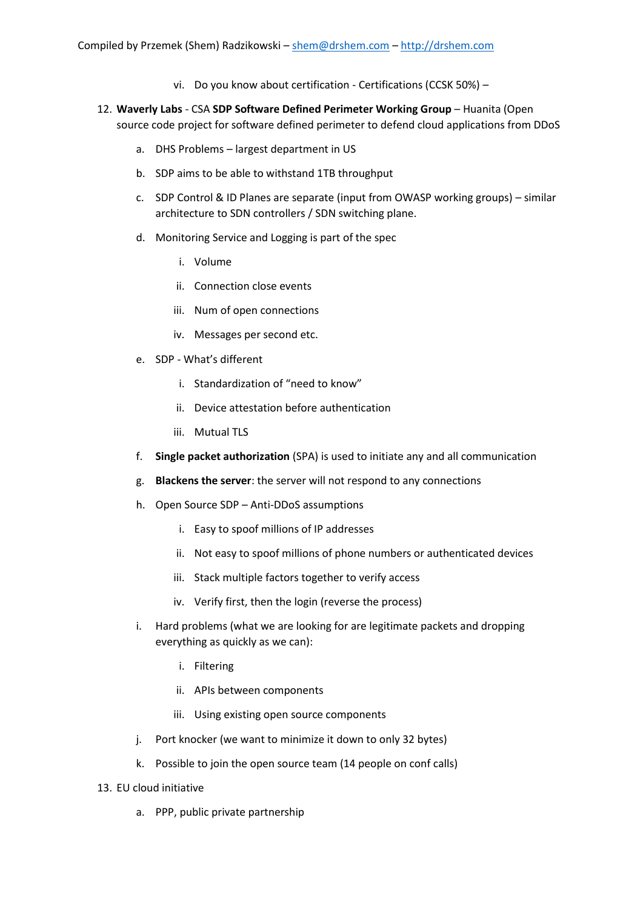- vi. Do you know about certification Certifications (CCSK 50%) –
- 12. **Waverly Labs** CSA **SDP Software Defined Perimeter Working Group** Huanita (Open source code project for software defined perimeter to defend cloud applications from DDoS
	- a. DHS Problems largest department in US
	- b. SDP aims to be able to withstand 1TB throughput
	- c. SDP Control & ID Planes are separate (input from OWASP working groups) similar architecture to SDN controllers / SDN switching plane.
	- d. Monitoring Service and Logging is part of the spec
		- i. Volume
		- ii. Connection close events
		- iii. Num of open connections
		- iv. Messages per second etc.
	- e. SDP What's different
		- i. Standardization of "need to know"
		- ii. Device attestation before authentication
		- iii. Mutual TLS
	- f. **Single packet authorization** (SPA) is used to initiate any and all communication
	- g. **Blackens the server**: the server will not respond to any connections
	- h. Open Source SDP Anti-DDoS assumptions
		- i. Easy to spoof millions of IP addresses
		- ii. Not easy to spoof millions of phone numbers or authenticated devices
		- iii. Stack multiple factors together to verify access
		- iv. Verify first, then the login (reverse the process)
	- i. Hard problems (what we are looking for are legitimate packets and dropping everything as quickly as we can):
		- i. Filtering
		- ii. APIs between components
		- iii. Using existing open source components
	- j. Port knocker (we want to minimize it down to only 32 bytes)
	- k. Possible to join the open source team (14 people on conf calls)
- 13. EU cloud initiative
	- a. PPP, public private partnership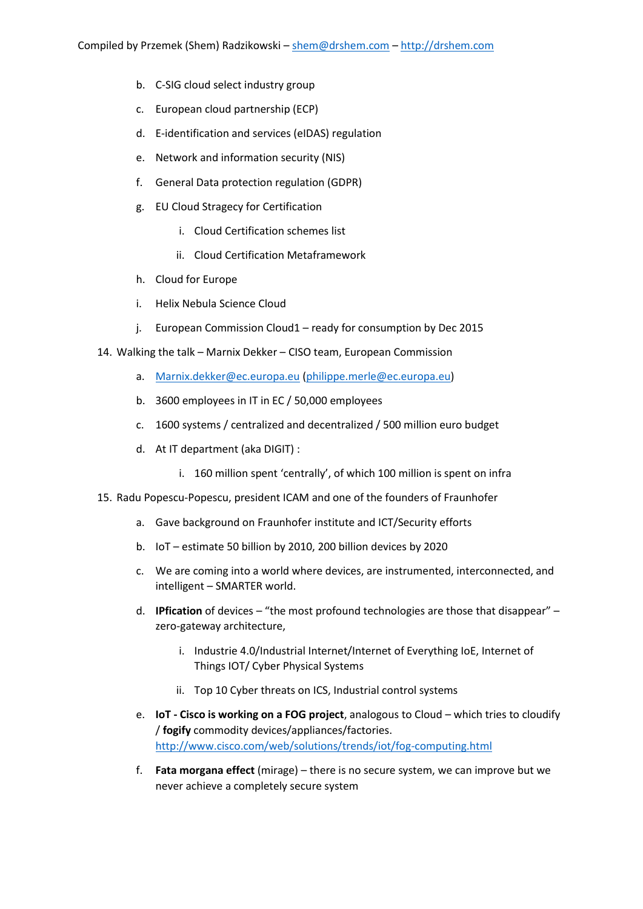- b. C-SIG cloud select industry group
- c. European cloud partnership (ECP)
- d. E-identification and services (eIDAS) regulation
- e. Network and information security (NIS)
- f. General Data protection regulation (GDPR)
- g. EU Cloud Stragecy for Certification
	- i. Cloud Certification schemes list
	- ii. Cloud Certification Metaframework
- h. Cloud for Europe
- i. Helix Nebula Science Cloud
- j. European Commission Cloud1 ready for consumption by Dec 2015
- 14. Walking the talk Marnix Dekker CISO team, European Commission
	- a. [Marnix.dekker@ec.europa.eu](mailto:Marnix.dekker@ec.europa.eu) [\(philippe.merle@ec.europa.eu\)](mailto:philippe.merle@ec.europa.eu)
	- b. 3600 employees in IT in EC / 50,000 employees
	- c. 1600 systems / centralized and decentralized / 500 million euro budget
	- d. At IT department (aka DIGIT) :
		- i. 160 million spent 'centrally', of which 100 million is spent on infra
- 15. Radu Popescu-Popescu, president ICAM and one of the founders of Fraunhofer
	- a. Gave background on Fraunhofer institute and ICT/Security efforts
	- b. IoT estimate 50 billion by 2010, 200 billion devices by 2020
	- c. We are coming into a world where devices, are instrumented, interconnected, and intelligent – SMARTER world.
	- d. **IPfication** of devices "the most profound technologies are those that disappear" zero-gateway architecture,
		- i. Industrie 4.0/Industrial Internet/Internet of Everything IoE, Internet of Things IOT/ Cyber Physical Systems
		- ii. Top 10 Cyber threats on ICS, Industrial control systems
	- e. **IoT - Cisco is working on a FOG project**, analogous to Cloud which tries to cloudify / **fogify** commodity devices/appliances/factories. <http://www.cisco.com/web/solutions/trends/iot/fog-computing.html>
	- f. **Fata morgana effect** (mirage) there is no secure system, we can improve but we never achieve a completely secure system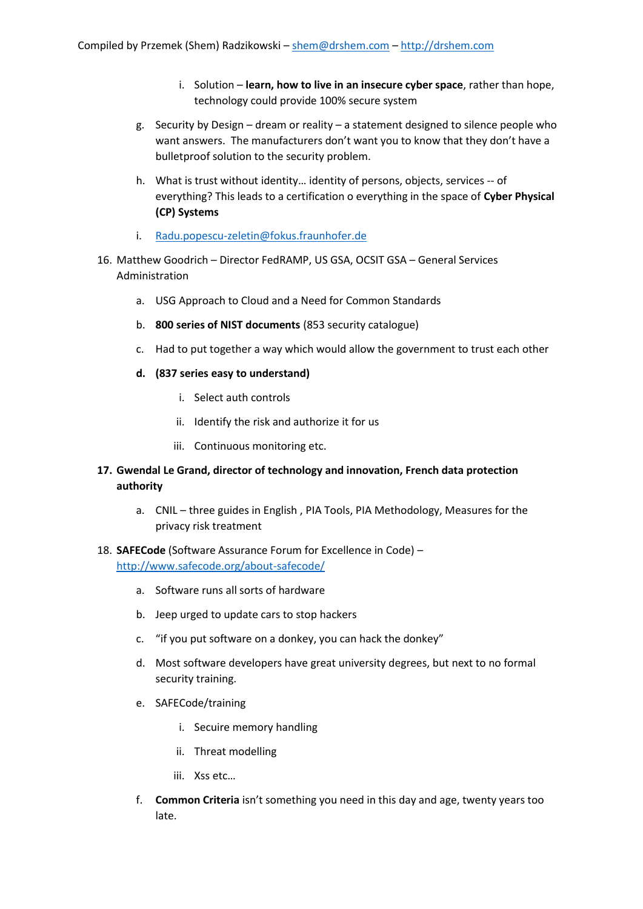- i. Solution **learn, how to live in an insecure cyber space**, rather than hope, technology could provide 100% secure system
- g. Security by Design dream or reality a statement designed to silence people who want answers. The manufacturers don't want you to know that they don't have a bulletproof solution to the security problem.
- h. What is trust without identity… identity of persons, objects, services -- of everything? This leads to a certification o everything in the space of **Cyber Physical (CP) Systems**
- i. [Radu.popescu-zeletin@fokus.fraunhofer.de](mailto:Radu.popescu-zeletin@fokus.fraunhofer.de)
- 16. Matthew Goodrich Director FedRAMP, US GSA, OCSIT GSA General Services Administration
	- a. USG Approach to Cloud and a Need for Common Standards
	- b. **800 series of NIST documents** (853 security catalogue)
	- c. Had to put together a way which would allow the government to trust each other
	- **d. (837 series easy to understand)**
		- i. Select auth controls
		- ii. Identify the risk and authorize it for us
		- iii. Continuous monitoring etc.
- **17. Gwendal Le Grand, director of technology and innovation, French data protection authority**
	- a. CNIL three guides in English , PIA Tools, PIA Methodology, Measures for the privacy risk treatment
- 18. **SAFECode** (Software Assurance Forum for Excellence in Code) <http://www.safecode.org/about-safecode/>
	- a. Software runs all sorts of hardware
	- b. Jeep urged to update cars to stop hackers
	- c. "if you put software on a donkey, you can hack the donkey"
	- d. Most software developers have great university degrees, but next to no formal security training.
	- e. SAFECode/training
		- i. Secuire memory handling
		- ii. Threat modelling
		- iii. Xss etc…
	- f. **Common Criteria** isn't something you need in this day and age, twenty years too late.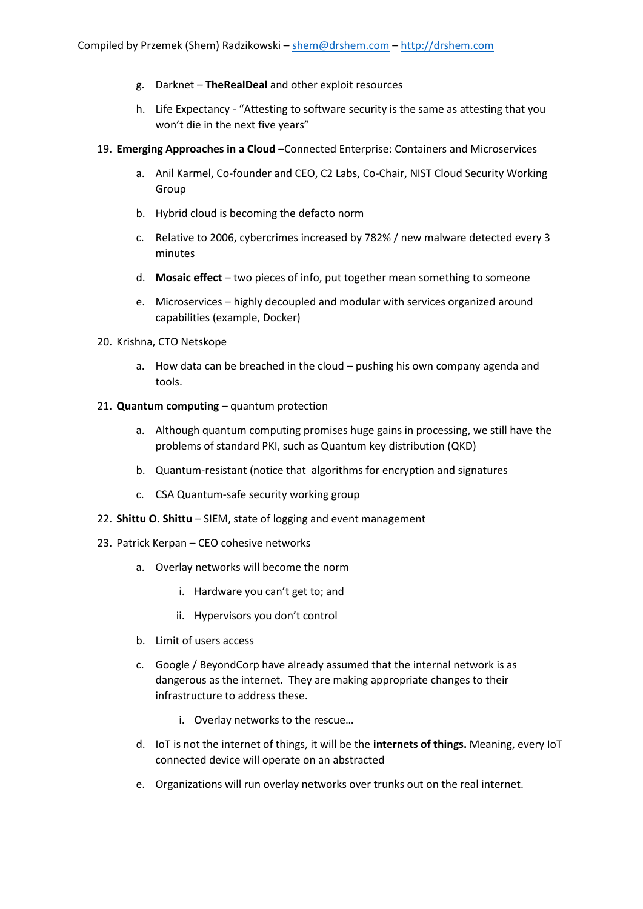- g. Darknet **TheRealDeal** and other exploit resources
- h. Life Expectancy "Attesting to software security is the same as attesting that you won't die in the next five years"
- 19. **Emerging Approaches in a Cloud** –Connected Enterprise: Containers and Microservices
	- a. Anil Karmel, Co-founder and CEO, C2 Labs, Co-Chair, NIST Cloud Security Working Group
	- b. Hybrid cloud is becoming the defacto norm
	- c. Relative to 2006, cybercrimes increased by 782% / new malware detected every 3 minutes
	- d. **Mosaic effect** two pieces of info, put together mean something to someone
	- e. Microservices highly decoupled and modular with services organized around capabilities (example, Docker)

#### 20. Krishna, CTO Netskope

a. How data can be breached in the cloud – pushing his own company agenda and tools.

### 21. **Quantum computing** – quantum protection

- a. Although quantum computing promises huge gains in processing, we still have the problems of standard PKI, such as Quantum key distribution (QKD)
- b. Quantum-resistant (notice that algorithms for encryption and signatures
- c. CSA Quantum-safe security working group
- 22. **Shittu O. Shittu** SIEM, state of logging and event management
- 23. Patrick Kerpan CEO cohesive networks
	- a. Overlay networks will become the norm
		- i. Hardware you can't get to; and
		- ii. Hypervisors you don't control
	- b. Limit of users access
	- c. Google / BeyondCorp have already assumed that the internal network is as dangerous as the internet. They are making appropriate changes to their infrastructure to address these.
		- i. Overlay networks to the rescue…
	- d. IoT is not the internet of things, it will be the **internets of things.** Meaning, every IoT connected device will operate on an abstracted
	- e. Organizations will run overlay networks over trunks out on the real internet.